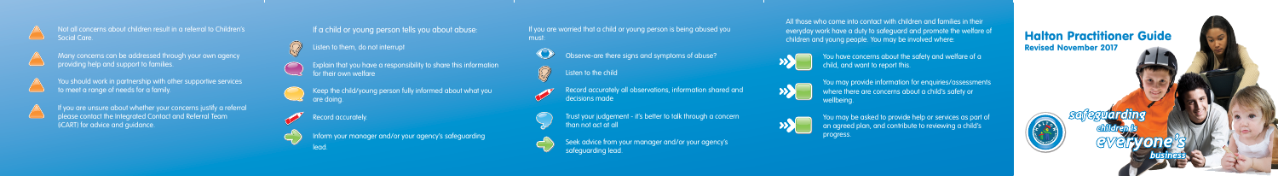If you are worried that a child or young person is being abused you must:

Observe-are there signs and symptoms of abuse?

**Listen to the child** 

Trust your judgement - it's better to talk through a concern than not act at all



 Seek advice from your manager and/or your agency's safeguarding lead.

You may be asked to provide help or services as part of an agreed plan, and contribute to reviewing a child's progress.

All those who come into contact with children and families in their everyday work have a duty to safeguard and promote the welfare of children and young people. You may be involved where:

You have concerns about the safety and welfare of a

## Not all concerns about children result in a referral to Children's Social Care



- Many concerns can be addressed through your own agency providing help and support to families.
- You should work in partnership with other supportive services  $\Box$  to meet a range of needs for a family.
- 

You may provide information for enquiries/assessments where there are concerns about a child's safety or wellbeing.

Listen to them, do not interrupt

- Explain that you have a responsibility to share this information for their own welfare
- Keep the child/young person fully informed about what you are doing.

Record accurately.

lead.

Inform your manager and/or your agency's safeguarding

If you are unsure about whether your concerns justify a referral please contact the Integrated Contact and Referral Team (iCART) for advice and guidance.

## If a child or young person tells you about abuse:

## Halton Practitioner Guide Revised November 2017